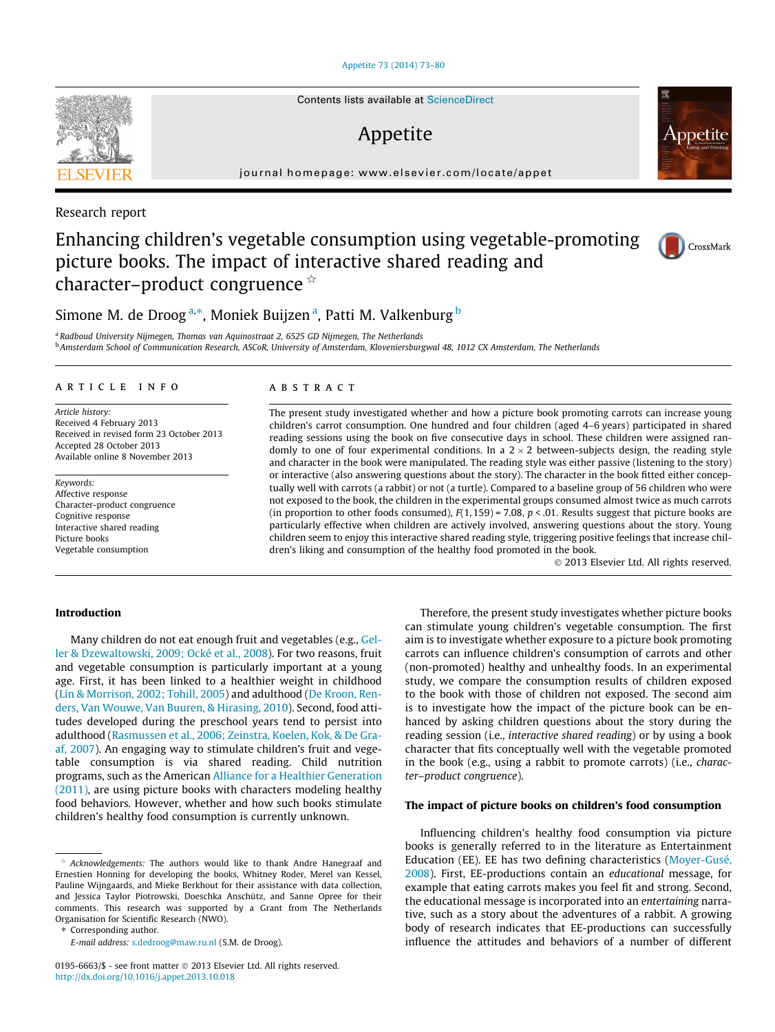#### [Appetite 73 \(2014\) 73–80](http://dx.doi.org/10.1016/j.appet.2013.10.018)

Contents lists available at [ScienceDirect](http://www.sciencedirect.com/science/journal/01956663)

# Appetite

journal homepage: [www.elsevier.com/locate/appet](http://www.elsevier.com/locate/appet)



## Enhancing children's vegetable consumption using vegetable-promoting picture books. The impact of interactive shared reading and character–product congruence  $\dot{\alpha}$

Appetite



## Simone M. de Droog<sup>a,\*</sup>, Moniek Buijzen <sup>a</sup>, Patti M. Valkenburg <sup>b</sup>

<sup>a</sup> Radboud University Nijmegen, Thomas van Aquinostraat 2, 6525 GD Nijmegen, The Netherlands <sup>b</sup> Amsterdam School of Communication Research, ASCoR, University of Amsterdam, Kloveniersburgwal 48, 1012 CX Amsterdam, The Netherlands

#### article info

Article history: Received 4 February 2013 Received in revised form 23 October 2013 Accepted 28 October 2013 Available online 8 November 2013

Keywords: Affective response Character-product congruence Cognitive response Interactive shared reading Picture books Vegetable consumption

#### **ABSTRACT**

The present study investigated whether and how a picture book promoting carrots can increase young children's carrot consumption. One hundred and four children (aged 4–6 years) participated in shared reading sessions using the book on five consecutive days in school. These children were assigned randomly to one of four experimental conditions. In a  $2 \times 2$  between-subjects design, the reading style and character in the book were manipulated. The reading style was either passive (listening to the story) or interactive (also answering questions about the story). The character in the book fitted either conceptually well with carrots (a rabbit) or not (a turtle). Compared to a baseline group of 56 children who were not exposed to the book, the children in the experimental groups consumed almost twice as much carrots (in proportion to other foods consumed),  $F(1, 159) = 7.08$ ,  $p < .01$ . Results suggest that picture books are particularly effective when children are actively involved, answering questions about the story. Young children seem to enjoy this interactive shared reading style, triggering positive feelings that increase children's liking and consumption of the healthy food promoted in the book.

- 2013 Elsevier Ltd. All rights reserved.

#### Introduction

Many children do not eat enough fruit and vegetables (e.g., [Gel](#page-7-0)[ler & Dzewaltowski, 2009; Ocké et al., 2008\)](#page-7-0). For two reasons, fruit and vegetable consumption is particularly important at a young age. First, it has been linked to a healthier weight in childhood ([Lin & Morrison, 2002; Tohill, 2005\)](#page-7-0) and adulthood [\(De Kroon, Ren](#page-6-0)[ders, Van Wouwe, Van Buuren, & Hirasing, 2010](#page-6-0)). Second, food attitudes developed during the preschool years tend to persist into adulthood [\(Rasmussen et al., 2006; Zeinstra, Koelen, Kok, & De Gra](#page-7-0)[af, 2007\)](#page-7-0). An engaging way to stimulate children's fruit and vegetable consumption is via shared reading. Child nutrition programs, such as the American [Alliance for a Healthier Generation](#page-6-0) [\(2011\),](#page-6-0) are using picture books with characters modeling healthy food behaviors. However, whether and how such books stimulate children's healthy food consumption is currently unknown.

\* Corresponding author.

Therefore, the present study investigates whether picture books can stimulate young children's vegetable consumption. The first aim is to investigate whether exposure to a picture book promoting carrots can influence children's consumption of carrots and other (non-promoted) healthy and unhealthy foods. In an experimental study, we compare the consumption results of children exposed to the book with those of children not exposed. The second aim is to investigate how the impact of the picture book can be enhanced by asking children questions about the story during the reading session (i.e., interactive shared reading) or by using a book character that fits conceptually well with the vegetable promoted in the book (e.g., using a rabbit to promote carrots) (i.e., character–product congruence).

#### The impact of picture books on children's food consumption

Influencing children's healthy food consumption via picture books is generally referred to in the literature as Entertainment Education (EE). EE has two defining characteristics [\(Moyer-Gusé,](#page-7-0) [2008](#page-7-0)). First, EE-productions contain an educational message, for example that eating carrots makes you feel fit and strong. Second, the educational message is incorporated into an entertaining narrative, such as a story about the adventures of a rabbit. A growing body of research indicates that EE-productions can successfully influence the attitudes and behaviors of a number of different

Acknowledgements: The authors would like to thank Andre Hanegraaf and Ernestien Honning for developing the books, Whitney Roder, Merel van Kessel, Pauline Wijngaards, and Mieke Berkhout for their assistance with data collection, and Jessica Taylor Piotrowski, Doeschka Anschütz, and Sanne Opree for their comments. This research was supported by a Grant from The Netherlands Organisation for Scientific Research (NWO).

E-mail address: [s.dedroog@maw.ru.nl](mailto:s.dedroog@maw.ru.nl) (S.M. de Droog).

<sup>0195-6663/\$ -</sup> see front matter © 2013 Elsevier Ltd. All rights reserved. <http://dx.doi.org/10.1016/j.appet.2013.10.018>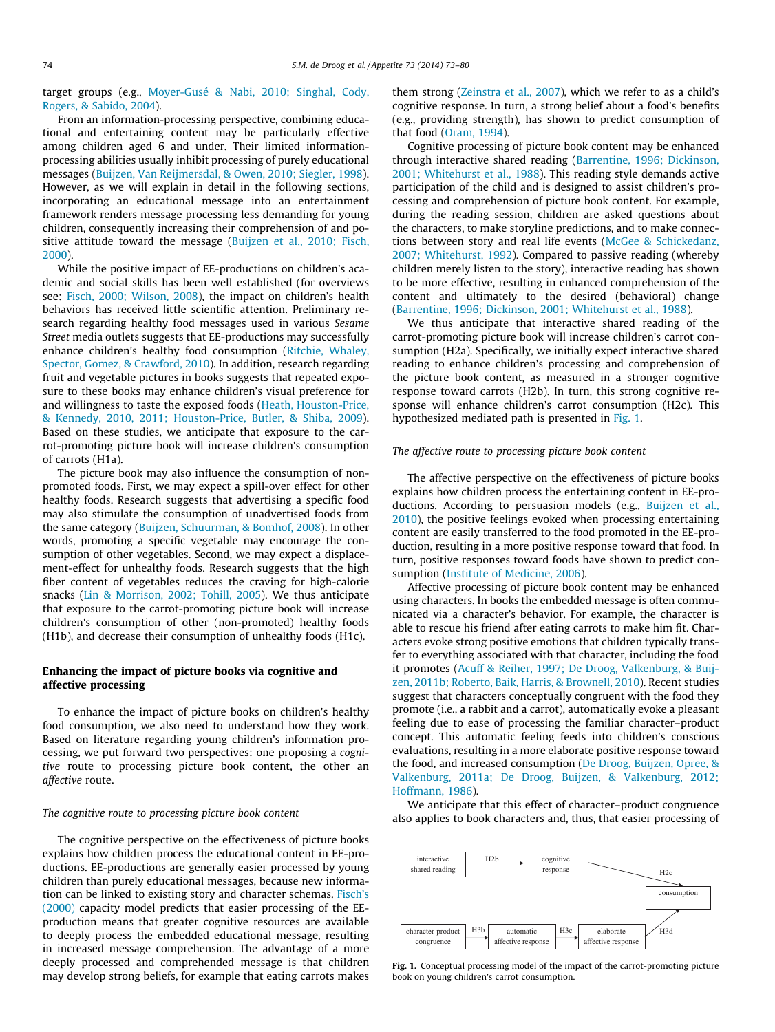<span id="page-1-0"></span>target groups (e.g., [Moyer-Gusé & Nabi, 2010; Singhal, Cody,](#page-7-0) [Rogers, & Sabido, 2004](#page-7-0)).

From an information-processing perspective, combining educational and entertaining content may be particularly effective among children aged 6 and under. Their limited informationprocessing abilities usually inhibit processing of purely educational messages ([Buijzen, Van Reijmersdal, & Owen, 2010; Siegler, 1998\)](#page-6-0). However, as we will explain in detail in the following sections, incorporating an educational message into an entertainment framework renders message processing less demanding for young children, consequently increasing their comprehension of and positive attitude toward the message [\(Buijzen et al., 2010; Fisch,](#page-6-0) [2000\)](#page-6-0).

While the positive impact of EE-productions on children's academic and social skills has been well established (for overviews see: [Fisch, 2000; Wilson, 2008](#page-7-0)), the impact on children's health behaviors has received little scientific attention. Preliminary research regarding healthy food messages used in various Sesame Street media outlets suggests that EE-productions may successfully enhance children's healthy food consumption ([Ritchie, Whaley,](#page-7-0) [Spector, Gomez, & Crawford, 2010](#page-7-0)). In addition, research regarding fruit and vegetable pictures in books suggests that repeated exposure to these books may enhance children's visual preference for and willingness to taste the exposed foods ([Heath, Houston-Price,](#page-7-0) [& Kennedy, 2010, 2011; Houston-Price, Butler, & Shiba, 2009\)](#page-7-0). Based on these studies, we anticipate that exposure to the carrot-promoting picture book will increase children's consumption of carrots (H1a).

The picture book may also influence the consumption of nonpromoted foods. First, we may expect a spill-over effect for other healthy foods. Research suggests that advertising a specific food may also stimulate the consumption of unadvertised foods from the same category ([Buijzen, Schuurman, & Bomhof, 2008\)](#page-6-0). In other words, promoting a specific vegetable may encourage the consumption of other vegetables. Second, we may expect a displacement-effect for unhealthy foods. Research suggests that the high fiber content of vegetables reduces the craving for high-calorie snacks [\(Lin & Morrison, 2002; Tohill, 2005\)](#page-7-0). We thus anticipate that exposure to the carrot-promoting picture book will increase children's consumption of other (non-promoted) healthy foods (H1b), and decrease their consumption of unhealthy foods (H1c).

#### Enhancing the impact of picture books via cognitive and affective processing

To enhance the impact of picture books on children's healthy food consumption, we also need to understand how they work. Based on literature regarding young children's information processing, we put forward two perspectives: one proposing a cognitive route to processing picture book content, the other an affective route.

#### The cognitive route to processing picture book content

The cognitive perspective on the effectiveness of picture books explains how children process the educational content in EE-productions. EE-productions are generally easier processed by young children than purely educational messages, because new information can be linked to existing story and character schemas. [Fisch's](#page-7-0) [\(2000\)](#page-7-0) capacity model predicts that easier processing of the EEproduction means that greater cognitive resources are available to deeply process the embedded educational message, resulting in increased message comprehension. The advantage of a more deeply processed and comprehended message is that children may develop strong beliefs, for example that eating carrots makes them strong ([Zeinstra et al., 2007\)](#page-7-0), which we refer to as a child's cognitive response. In turn, a strong belief about a food's benefits (e.g., providing strength), has shown to predict consumption of that food [\(Oram, 1994\)](#page-7-0).

Cognitive processing of picture book content may be enhanced through interactive shared reading [\(Barrentine, 1996; Dickinson,](#page-6-0) [2001; Whitehurst et al., 1988\)](#page-6-0). This reading style demands active participation of the child and is designed to assist children's processing and comprehension of picture book content. For example, during the reading session, children are asked questions about the characters, to make storyline predictions, and to make connections between story and real life events ([McGee & Schickedanz,](#page-7-0) [2007; Whitehurst, 1992\)](#page-7-0). Compared to passive reading (whereby children merely listen to the story), interactive reading has shown to be more effective, resulting in enhanced comprehension of the content and ultimately to the desired (behavioral) change ([Barrentine, 1996; Dickinson, 2001; Whitehurst et al., 1988\)](#page-6-0).

We thus anticipate that interactive shared reading of the carrot-promoting picture book will increase children's carrot consumption (H2a). Specifically, we initially expect interactive shared reading to enhance children's processing and comprehension of the picture book content, as measured in a stronger cognitive response toward carrots (H2b). In turn, this strong cognitive response will enhance children's carrot consumption (H2c). This hypothesized mediated path is presented in Fig. 1.

### The affective route to processing picture book content

The affective perspective on the effectiveness of picture books explains how children process the entertaining content in EE-pro-ductions. According to persuasion models (e.g., [Buijzen et al.,](#page-6-0) [2010\)](#page-6-0), the positive feelings evoked when processing entertaining content are easily transferred to the food promoted in the EE-production, resulting in a more positive response toward that food. In turn, positive responses toward foods have shown to predict consumption ([Institute of Medicine, 2006](#page-7-0)).

Affective processing of picture book content may be enhanced using characters. In books the embedded message is often communicated via a character's behavior. For example, the character is able to rescue his friend after eating carrots to make him fit. Characters evoke strong positive emotions that children typically transfer to everything associated with that character, including the food it promotes [\(Acuff & Reiher, 1997; De Droog, Valkenburg, & Buij](#page-6-0)[zen, 2011b; Roberto, Baik, Harris, & Brownell, 2010\)](#page-6-0). Recent studies suggest that characters conceptually congruent with the food they promote (i.e., a rabbit and a carrot), automatically evoke a pleasant feeling due to ease of processing the familiar character–product concept. This automatic feeling feeds into children's conscious evaluations, resulting in a more elaborate positive response toward the food, and increased consumption ([De Droog, Buijzen, Opree, &](#page-6-0) [Valkenburg, 2011a; De Droog, Buijzen, & Valkenburg, 2012;](#page-6-0) [Hoffmann, 1986](#page-6-0)).

We anticipate that this effect of character–product congruence also applies to book characters and, thus, that easier processing of



Fig. 1. Conceptual processing model of the impact of the carrot-promoting picture book on young children's carrot consumption.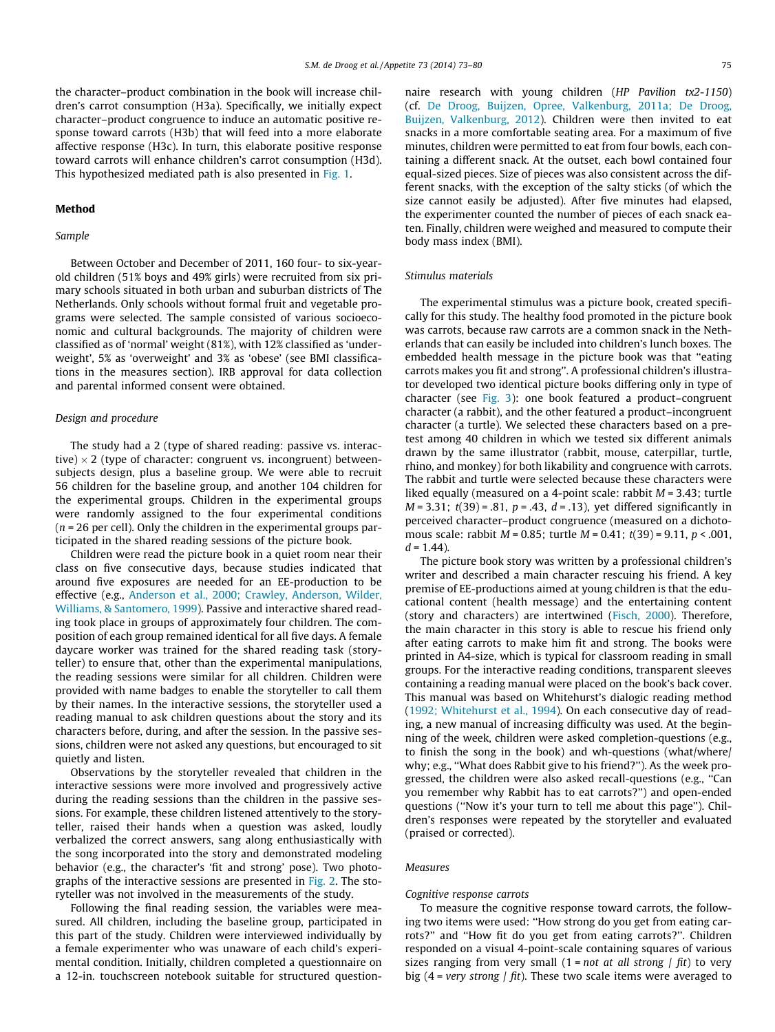the character–product combination in the book will increase children's carrot consumption (H3a). Specifically, we initially expect character–product congruence to induce an automatic positive response toward carrots (H3b) that will feed into a more elaborate affective response (H3c). In turn, this elaborate positive response toward carrots will enhance children's carrot consumption (H3d). This hypothesized mediated path is also presented in [Fig. 1.](#page-1-0)

#### Method

#### Sample

Between October and December of 2011, 160 four- to six-yearold children (51% boys and 49% girls) were recruited from six primary schools situated in both urban and suburban districts of The Netherlands. Only schools without formal fruit and vegetable programs were selected. The sample consisted of various socioeconomic and cultural backgrounds. The majority of children were classified as of 'normal' weight (81%), with 12% classified as 'underweight', 5% as 'overweight' and 3% as 'obese' (see BMI classifications in the measures section). IRB approval for data collection and parental informed consent were obtained.

#### Design and procedure

The study had a 2 (type of shared reading: passive vs. interactive)  $\times$  2 (type of character: congruent vs. incongruent) betweensubjects design, plus a baseline group. We were able to recruit 56 children for the baseline group, and another 104 children for the experimental groups. Children in the experimental groups were randomly assigned to the four experimental conditions  $(n = 26$  per cell). Only the children in the experimental groups participated in the shared reading sessions of the picture book.

Children were read the picture book in a quiet room near their class on five consecutive days, because studies indicated that around five exposures are needed for an EE-production to be effective (e.g., [Anderson et al., 2000; Crawley, Anderson, Wilder,](#page-6-0) [Williams, & Santomero, 1999\)](#page-6-0). Passive and interactive shared reading took place in groups of approximately four children. The composition of each group remained identical for all five days. A female daycare worker was trained for the shared reading task (storyteller) to ensure that, other than the experimental manipulations, the reading sessions were similar for all children. Children were provided with name badges to enable the storyteller to call them by their names. In the interactive sessions, the storyteller used a reading manual to ask children questions about the story and its characters before, during, and after the session. In the passive sessions, children were not asked any questions, but encouraged to sit quietly and listen.

Observations by the storyteller revealed that children in the interactive sessions were more involved and progressively active during the reading sessions than the children in the passive sessions. For example, these children listened attentively to the storyteller, raised their hands when a question was asked, loudly verbalized the correct answers, sang along enthusiastically with the song incorporated into the story and demonstrated modeling behavior (e.g., the character's 'fit and strong' pose). Two photographs of the interactive sessions are presented in [Fig. 2.](#page-3-0) The storyteller was not involved in the measurements of the study.

Following the final reading session, the variables were measured. All children, including the baseline group, participated in this part of the study. Children were interviewed individually by a female experimenter who was unaware of each child's experimental condition. Initially, children completed a questionnaire on a 12-in. touchscreen notebook suitable for structured questionnaire research with young children (HP Pavilion tx2-1150) (cf. [De Droog, Buijzen, Opree, Valkenburg, 2011a; De Droog,](#page-6-0) [Buijzen, Valkenburg, 2012](#page-6-0)). Children were then invited to eat snacks in a more comfortable seating area. For a maximum of five minutes, children were permitted to eat from four bowls, each containing a different snack. At the outset, each bowl contained four equal-sized pieces. Size of pieces was also consistent across the different snacks, with the exception of the salty sticks (of which the size cannot easily be adjusted). After five minutes had elapsed, the experimenter counted the number of pieces of each snack eaten. Finally, children were weighed and measured to compute their body mass index (BMI).

#### Stimulus materials

The experimental stimulus was a picture book, created specifically for this study. The healthy food promoted in the picture book was carrots, because raw carrots are a common snack in the Netherlands that can easily be included into children's lunch boxes. The embedded health message in the picture book was that ''eating carrots makes you fit and strong''. A professional children's illustrator developed two identical picture books differing only in type of character (see [Fig. 3](#page-3-0)): one book featured a product–congruent character (a rabbit), and the other featured a product–incongruent character (a turtle). We selected these characters based on a pretest among 40 children in which we tested six different animals drawn by the same illustrator (rabbit, mouse, caterpillar, turtle, rhino, and monkey) for both likability and congruence with carrots. The rabbit and turtle were selected because these characters were liked equally (measured on a 4-point scale: rabbit  $M = 3.43$ ; turtle  $M = 3.31$ ;  $t(39) = .81$ ,  $p = .43$ ,  $d = .13$ ), yet differed significantly in perceived character–product congruence (measured on a dichotomous scale: rabbit  $M = 0.85$ ; turtle  $M = 0.41$ ;  $t(39) = 9.11$ ,  $p < .001$ ,  $d = 1.44$ ).

The picture book story was written by a professional children's writer and described a main character rescuing his friend. A key premise of EE-productions aimed at young children is that the educational content (health message) and the entertaining content (story and characters) are intertwined ([Fisch, 2000](#page-7-0)). Therefore, the main character in this story is able to rescue his friend only after eating carrots to make him fit and strong. The books were printed in A4-size, which is typical for classroom reading in small groups. For the interactive reading conditions, transparent sleeves containing a reading manual were placed on the book's back cover. This manual was based on Whitehurst's dialogic reading method ([1992; Whitehurst et al., 1994\)](#page-7-0). On each consecutive day of reading, a new manual of increasing difficulty was used. At the beginning of the week, children were asked completion-questions (e.g., to finish the song in the book) and wh-questions (what/where/ why; e.g., ''What does Rabbit give to his friend?''). As the week progressed, the children were also asked recall-questions (e.g., ''Can you remember why Rabbit has to eat carrots?'') and open-ended questions (''Now it's your turn to tell me about this page''). Children's responses were repeated by the storyteller and evaluated (praised or corrected).

#### Measures

#### Cognitive response carrots

To measure the cognitive response toward carrots, the following two items were used: ''How strong do you get from eating carrots?'' and ''How fit do you get from eating carrots?''. Children responded on a visual 4-point-scale containing squares of various sizes ranging from very small  $(1 = not at all strong / fit)$  to very big (4 = very strong / fit). These two scale items were averaged to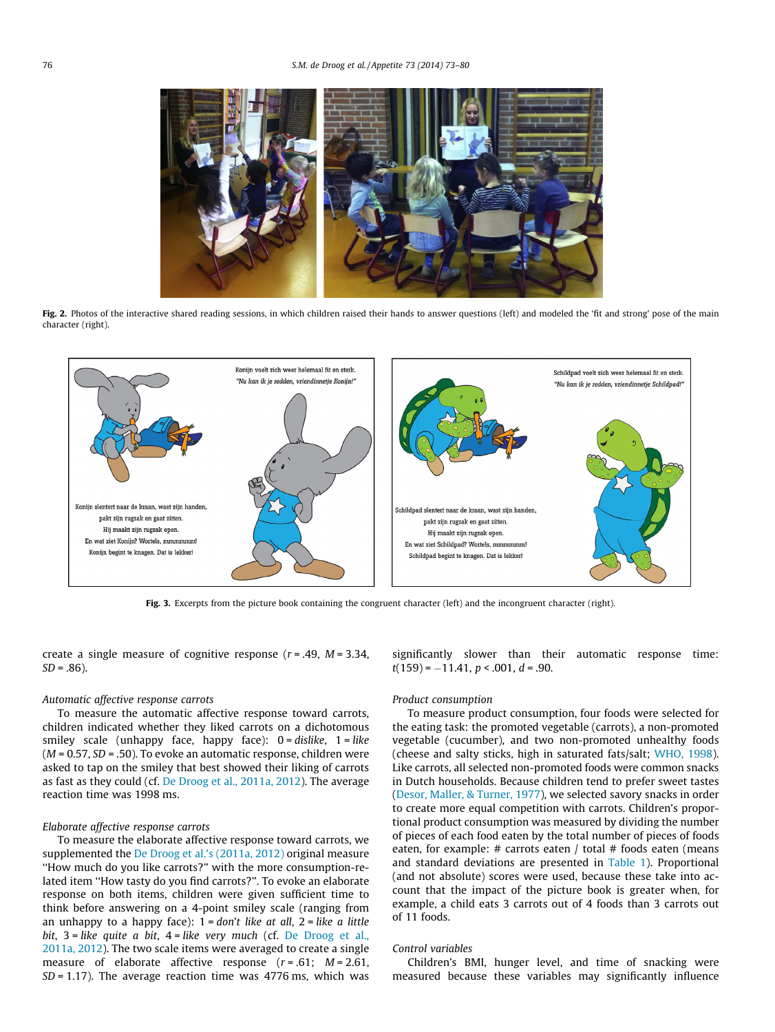<span id="page-3-0"></span>

Fig. 2. Photos of the interactive shared reading sessions, in which children raised their hands to answer questions (left) and modeled the 'fit and strong' pose of the main character (right).



Fig. 3. Excerpts from the picture book containing the congruent character (left) and the incongruent character (right).

create a single measure of cognitive response  $(r = .49, M = 3.34,$  $SD = .86$ ).

#### Automatic affective response carrots

To measure the automatic affective response toward carrots, children indicated whether they liked carrots on a dichotomous smiley scale (unhappy face, happy face):  $0 = \text{dislike}, 1 = \text{like}$  $(M = 0.57, SD = .50)$ . To evoke an automatic response, children were asked to tap on the smiley that best showed their liking of carrots as fast as they could (cf. [De Droog et al., 2011a, 2012](#page-6-0)). The average reaction time was 1998 ms.

#### Elaborate affective response carrots

To measure the elaborate affective response toward carrots, we supplemented the [De Droog et al.'s \(2011a, 2012\)](#page-6-0) original measure ''How much do you like carrots?'' with the more consumption-related item ''How tasty do you find carrots?''. To evoke an elaborate response on both items, children were given sufficient time to think before answering on a 4-point smiley scale (ranging from an unhappy to a happy face):  $1 = don't$  like at all,  $2 =$  like a little bit,  $3$  = like quite a bit,  $4$  = like very much (cf. [De Droog et al.,](#page-6-0) [2011a, 2012\)](#page-6-0). The two scale items were averaged to create a single measure of elaborate affective response  $(r=.61; M = 2.61,$  $SD = 1.17$ ). The average reaction time was 4776 ms, which was significantly slower than their automatic response time:  $t(159) = -11.41$ ,  $p < .001$ ,  $d = .90$ .

#### Product consumption

To measure product consumption, four foods were selected for the eating task: the promoted vegetable (carrots), a non-promoted vegetable (cucumber), and two non-promoted unhealthy foods (cheese and salty sticks, high in saturated fats/salt; [WHO, 1998\)](#page-7-0). Like carrots, all selected non-promoted foods were common snacks in Dutch households. Because children tend to prefer sweet tastes ([Desor, Maller, & Turner, 1977](#page-6-0)), we selected savory snacks in order to create more equal competition with carrots. Children's proportional product consumption was measured by dividing the number of pieces of each food eaten by the total number of pieces of foods eaten, for example:  $#$  carrots eaten / total  $#$  foods eaten (means and standard deviations are presented in [Table 1\)](#page-4-0). Proportional (and not absolute) scores were used, because these take into account that the impact of the picture book is greater when, for example, a child eats 3 carrots out of 4 foods than 3 carrots out of 11 foods.

### Control variables

Children's BMI, hunger level, and time of snacking were measured because these variables may significantly influence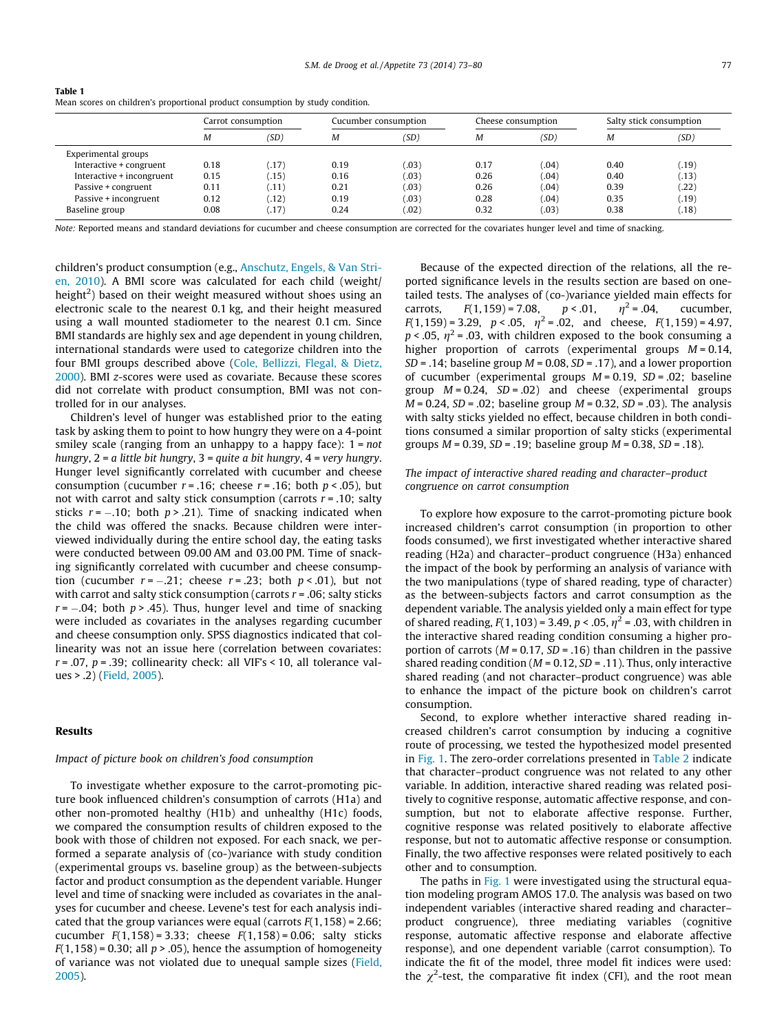<span id="page-4-0"></span>

| Table 1 |                                                                                |  |
|---------|--------------------------------------------------------------------------------|--|
|         | Mean scores on children's proportional product consumption by study condition. |  |

|                           | Carrot consumption |                  | Cucumber consumption |      | Cheese consumption |                 | Salty stick consumption |       |
|---------------------------|--------------------|------------------|----------------------|------|--------------------|-----------------|-------------------------|-------|
|                           | Μ                  | (SD)             | M                    | (SD) | М                  | (SD)            | M                       | (SD)  |
| Experimental groups       |                    |                  |                      |      |                    |                 |                         |       |
| Interactive + congruent   | 0.18               | .17 <sup>5</sup> | 0.19                 | .03) | 0.17               | $04^{\circ}$    | 0.40                    | (.19) |
| Interactive + incongruent | 0.15               | .15)             | 0.16                 | .03) | 0.26               | (.04)           | 0.40                    | (.13) |
| Passive + congruent       | 0.11               | (.11)            | 0.21                 | .03) | 0.26               | (.04)           | 0.39                    | (22)  |
| Passive + incongruent     | 0.12               | (12)             | 0.19                 | .03) | 0.28               | $04^{\circ}$    | 0.35                    | (.19) |
| Baseline group            | 0.08               | .17              | 0.24                 | .02) | 0.32               | $^{\prime}$ .03 | 0.38                    | (.18) |

Note: Reported means and standard deviations for cucumber and cheese consumption are corrected for the covariates hunger level and time of snacking.

children's product consumption (e.g., [Anschutz, Engels, & Van Stri](#page-6-0)[en, 2010\)](#page-6-0). A BMI score was calculated for each child (weight/ height<sup>2</sup>) based on their weight measured without shoes using an electronic scale to the nearest 0.1 kg, and their height measured using a wall mounted stadiometer to the nearest 0.1 cm. Since BMI standards are highly sex and age dependent in young children, international standards were used to categorize children into the four BMI groups described above ([Cole, Bellizzi, Flegal, & Dietz,](#page-6-0) [2000](#page-6-0)). BMI z-scores were used as covariate. Because these scores did not correlate with product consumption, BMI was not controlled for in our analyses.

Children's level of hunger was established prior to the eating task by asking them to point to how hungry they were on a 4-point smiley scale (ranging from an unhappy to a happy face):  $1 = not$ hungry,  $2 = a$  little bit hungry,  $3 = q$ uite a bit hungry,  $4 = \text{very hungry}$ . Hunger level significantly correlated with cucumber and cheese consumption (cucumber  $r = .16$ ; cheese  $r = .16$ ; both  $p < .05$ ), but not with carrot and salty stick consumption (carrots  $r = .10$ ; salty sticks  $r = -.10$ ; both  $p > .21$ ). Time of snacking indicated when the child was offered the snacks. Because children were interviewed individually during the entire school day, the eating tasks were conducted between 09.00 AM and 03.00 PM. Time of snacking significantly correlated with cucumber and cheese consumption (cucumber  $r = -.21$ ; cheese  $r = .23$ ; both  $p < .01$ ), but not with carrot and salty stick consumption (carrots  $r = .06$ ; salty sticks  $r = -.04$ ; both  $p > .45$ ). Thus, hunger level and time of snacking were included as covariates in the analyses regarding cucumber and cheese consumption only. SPSS diagnostics indicated that collinearity was not an issue here (correlation between covariates:  $r = .07$ ,  $p = .39$ ; collinearity check: all VIF's < 10, all tolerance values > .2) [\(Field, 2005\)](#page-7-0).

#### Results

#### Impact of picture book on children's food consumption

To investigate whether exposure to the carrot-promoting picture book influenced children's consumption of carrots (H1a) and other non-promoted healthy (H1b) and unhealthy (H1c) foods, we compared the consumption results of children exposed to the book with those of children not exposed. For each snack, we performed a separate analysis of (co-)variance with study condition (experimental groups vs. baseline group) as the between-subjects factor and product consumption as the dependent variable. Hunger level and time of snacking were included as covariates in the analyses for cucumber and cheese. Levene's test for each analysis indicated that the group variances were equal (carrots  $F(1,158) = 2.66$ ; cucumber  $F(1,158) = 3.33$ ; cheese  $F(1,158) = 0.06$ ; salty sticks  $F(1,158) = 0.30$ ; all  $p > .05$ ), hence the assumption of homogeneity of variance was not violated due to unequal sample sizes [\(Field,](#page-7-0) [2005](#page-7-0)).

Because of the expected direction of the relations, all the reported significance levels in the results section are based on onetailed tests. The analyses of (co-)variance yielded main effects for carrots,  $F(1,159) = 7.08$ ,  $p < .01$ ,  $\eta^2 = .04$ , cucumber,  $F(1,159) = 3.29$ ,  $p < .05$ ,  $\eta^2 = .02$ , and cheese,  $F(1,159) = 4.97$ ,  $p < .05$ ,  $\eta^2 = .03$ , with children exposed to the book consuming a higher proportion of carrots (experimental groups  $M = 0.14$ ,  $SD = .14$ ; baseline group  $M = 0.08$ ,  $SD = .17$ ), and a lower proportion of cucumber (experimental groups  $M = 0.19$ ,  $SD = .02$ ; baseline group  $M = 0.24$ ,  $SD = .02$ ) and cheese (experimental groups  $M = 0.24$ ,  $SD = .02$ ; baseline group  $M = 0.32$ ,  $SD = .03$ ). The analysis with salty sticks yielded no effect, because children in both conditions consumed a similar proportion of salty sticks (experimental groups  $M = 0.39$ ,  $SD = .19$ ; baseline group  $M = 0.38$ ,  $SD = .18$ ).

#### The impact of interactive shared reading and character–product congruence on carrot consumption

To explore how exposure to the carrot-promoting picture book increased children's carrot consumption (in proportion to other foods consumed), we first investigated whether interactive shared reading (H2a) and character–product congruence (H3a) enhanced the impact of the book by performing an analysis of variance with the two manipulations (type of shared reading, type of character) as the between-subjects factors and carrot consumption as the dependent variable. The analysis yielded only a main effect for type of shared reading,  $F(1,103) = 3.49$ ,  $p < .05$ ,  $\eta^2 = .03$ , with children in the interactive shared reading condition consuming a higher proportion of carrots ( $M = 0.17$ ,  $SD = .16$ ) than children in the passive shared reading condition ( $M = 0.12$ ,  $SD = .11$ ). Thus, only interactive shared reading (and not character–product congruence) was able to enhance the impact of the picture book on children's carrot consumption.

Second, to explore whether interactive shared reading increased children's carrot consumption by inducing a cognitive route of processing, we tested the hypothesized model presented in [Fig. 1.](#page-1-0) The zero-order correlations presented in [Table 2](#page-5-0) indicate that character–product congruence was not related to any other variable. In addition, interactive shared reading was related positively to cognitive response, automatic affective response, and consumption, but not to elaborate affective response. Further, cognitive response was related positively to elaborate affective response, but not to automatic affective response or consumption. Finally, the two affective responses were related positively to each other and to consumption.

The paths in [Fig. 1](#page-1-0) were investigated using the structural equation modeling program AMOS 17.0. The analysis was based on two independent variables (interactive shared reading and character– product congruence), three mediating variables (cognitive response, automatic affective response and elaborate affective response), and one dependent variable (carrot consumption). To indicate the fit of the model, three model fit indices were used: the  $\chi^2$ -test, the comparative fit index (CFI), and the root mean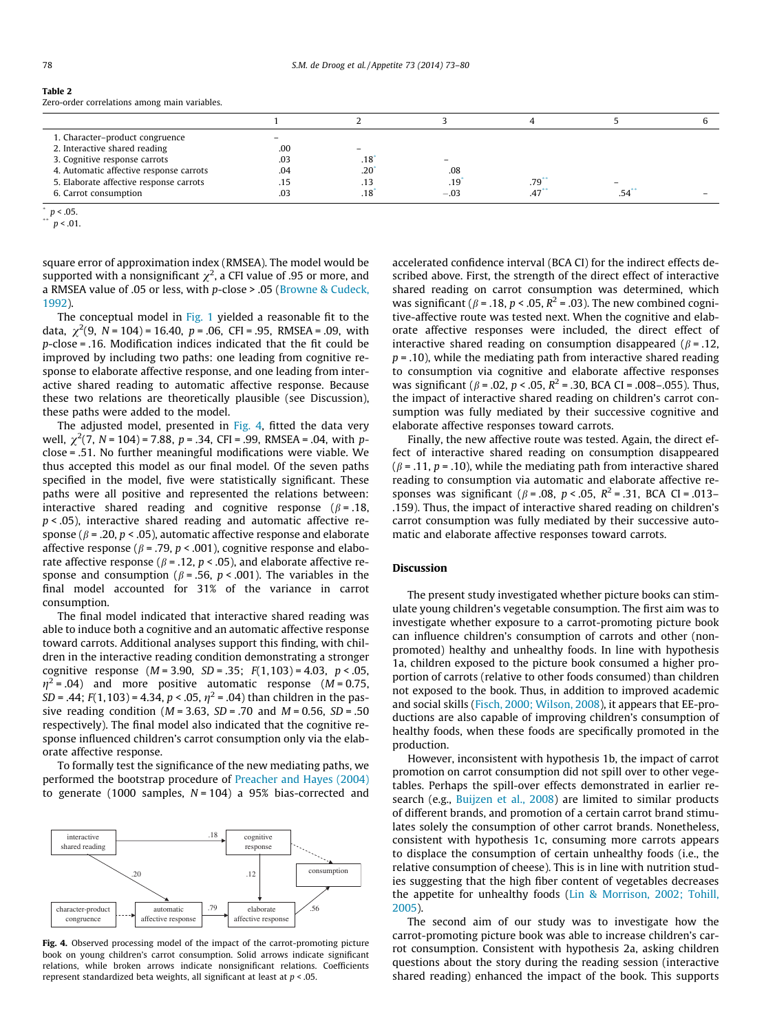<span id="page-5-0"></span>

| Table 2                                       |  |
|-----------------------------------------------|--|
| Zero-order correlations among main variables. |  |

| 1. Character-product congruence         |     |                  |                    |                    |                          |  |
|-----------------------------------------|-----|------------------|--------------------|--------------------|--------------------------|--|
| 2. Interactive shared reading           | .00 |                  |                    |                    |                          |  |
| 3. Cognitive response carrots           | .03 | .18              |                    |                    |                          |  |
| 4. Automatic affective response carrots | .04 | .20 <sup>2</sup> | .08                |                    |                          |  |
| 5. Elaborate affective response carrots | .15 | .13              | $.19$ <sup>-</sup> | $.79$ <sup>*</sup> | $\overline{\phantom{0}}$ |  |
| 6. Carrot consumption                   | .03 | .18 <sup>2</sup> | $-.03$             | .47                | .54                      |  |
|                                         |     |                  |                    |                    |                          |  |

 $p < .05$ .

square error of approximation index (RMSEA). The model would be supported with a nonsignificant  $\chi^2$ , a CFI value of .95 or more, and a RMSEA value of .05 or less, with p-close > .05 [\(Browne & Cudeck,](#page-6-0) [1992\)](#page-6-0).

The conceptual model in [Fig. 1](#page-1-0) yielded a reasonable fit to the data,  $\chi^2(9, N = 104) = 16.40, p = .06, CFI = .95, RMSEA = .09, with$ p-close = .16. Modification indices indicated that the fit could be improved by including two paths: one leading from cognitive response to elaborate affective response, and one leading from interactive shared reading to automatic affective response. Because these two relations are theoretically plausible (see Discussion), these paths were added to the model.

The adjusted model, presented in Fig. 4, fitted the data very well,  $\chi^2$ (7, N = 104) = 7.88, p = .34, CFI = .99, RMSEA = .04, with pclose = .51. No further meaningful modifications were viable. We thus accepted this model as our final model. Of the seven paths specified in the model, five were statistically significant. These paths were all positive and represented the relations between: interactive shared reading and cognitive response ( $\beta$  = .18,  $p < .05$ ), interactive shared reading and automatic affective response ( $\beta$  = .20,  $p$  < .05), automatic affective response and elaborate affective response ( $\beta$  = .79,  $p$  < .001), cognitive response and elaborate affective response ( $\beta$  = .12,  $p$  < .05), and elaborate affective response and consumption ( $\beta$  = .56,  $p$  < .001). The variables in the final model accounted for 31% of the variance in carrot consumption.

The final model indicated that interactive shared reading was able to induce both a cognitive and an automatic affective response toward carrots. Additional analyses support this finding, with children in the interactive reading condition demonstrating a stronger cognitive response  $(M = 3.90, SD = .35; F(1,103) = 4.03, p < .05,$  $\eta^2$  = .04) and more positive automatic response (M = 0.75,  $SD = .44$ ;  $F(1,103) = 4.34$ ,  $p < .05$ ,  $\eta^2 = .04$ ) than children in the passive reading condition ( $M = 3.63$ ,  $SD = .70$  and  $M = 0.56$ ,  $SD = .50$ respectively). The final model also indicated that the cognitive response influenced children's carrot consumption only via the elaborate affective response.

To formally test the significance of the new mediating paths, we performed the bootstrap procedure of [Preacher and Hayes \(2004\)](#page-7-0) to generate (1000 samples,  $N = 104$ ) a 95% bias-corrected and



Fig. 4. Observed processing model of the impact of the carrot-promoting picture book on young children's carrot consumption. Solid arrows indicate significant relations, while broken arrows indicate nonsignificant relations. Coefficients represent standardized beta weights, all significant at least at  $p < .05$ .

accelerated confidence interval (BCA CI) for the indirect effects described above. First, the strength of the direct effect of interactive shared reading on carrot consumption was determined, which was significant ( $\beta$  = .18,  $p < .05$ ,  $R^2$  = .03). The new combined cognitive-affective route was tested next. When the cognitive and elaborate affective responses were included, the direct effect of interactive shared reading on consumption disappeared ( $\beta$  = .12,  $p = .10$ ), while the mediating path from interactive shared reading to consumption via cognitive and elaborate affective responses was significant ( $\beta$  = .02,  $p <$  .05,  $R^2$  = .30, BCA CI = .008–.055). Thus, the impact of interactive shared reading on children's carrot consumption was fully mediated by their successive cognitive and elaborate affective responses toward carrots.

Finally, the new affective route was tested. Again, the direct effect of interactive shared reading on consumption disappeared ( $\beta$  = .11,  $p$  = .10), while the mediating path from interactive shared reading to consumption via automatic and elaborate affective responses was significant ( $\beta$  = .08,  $p <$  .05,  $R^2$  = .31, BCA CI = .013– .159). Thus, the impact of interactive shared reading on children's carrot consumption was fully mediated by their successive automatic and elaborate affective responses toward carrots.

#### Discussion

The present study investigated whether picture books can stimulate young children's vegetable consumption. The first aim was to investigate whether exposure to a carrot-promoting picture book can influence children's consumption of carrots and other (nonpromoted) healthy and unhealthy foods. In line with hypothesis 1a, children exposed to the picture book consumed a higher proportion of carrots (relative to other foods consumed) than children not exposed to the book. Thus, in addition to improved academic and social skills [\(Fisch, 2000; Wilson, 2008](#page-7-0)), it appears that EE-productions are also capable of improving children's consumption of healthy foods, when these foods are specifically promoted in the production.

However, inconsistent with hypothesis 1b, the impact of carrot promotion on carrot consumption did not spill over to other vegetables. Perhaps the spill-over effects demonstrated in earlier re-search (e.g., [Buijzen et al., 2008](#page-6-0)) are limited to similar products of different brands, and promotion of a certain carrot brand stimulates solely the consumption of other carrot brands. Nonetheless, consistent with hypothesis 1c, consuming more carrots appears to displace the consumption of certain unhealthy foods (i.e., the relative consumption of cheese). This is in line with nutrition studies suggesting that the high fiber content of vegetables decreases the appetite for unhealthy foods ([Lin & Morrison, 2002; Tohill,](#page-7-0) [2005\)](#page-7-0).

The second aim of our study was to investigate how the carrot-promoting picture book was able to increase children's carrot consumption. Consistent with hypothesis 2a, asking children questions about the story during the reading session (interactive shared reading) enhanced the impact of the book. This supports

 $p < .01$ .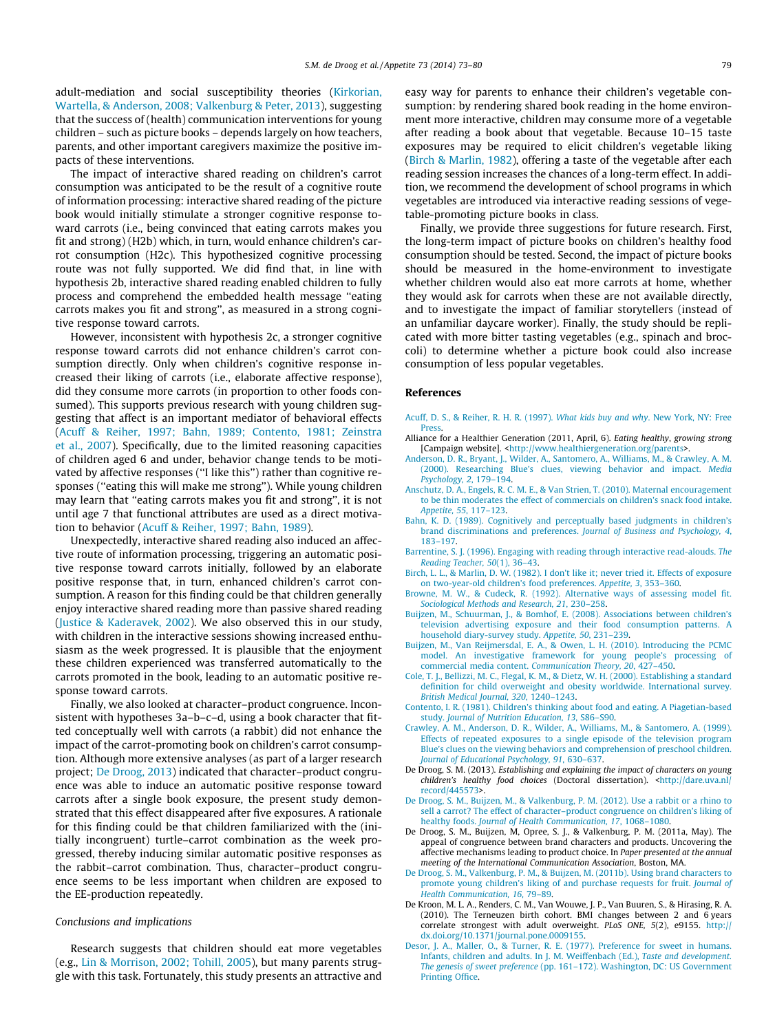<span id="page-6-0"></span>adult-mediation and social susceptibility theories ([Kirkorian,](#page-7-0) [Wartella, & Anderson, 2008; Valkenburg & Peter, 2013](#page-7-0)), suggesting that the success of (health) communication interventions for young children – such as picture books – depends largely on how teachers, parents, and other important caregivers maximize the positive impacts of these interventions.

The impact of interactive shared reading on children's carrot consumption was anticipated to be the result of a cognitive route of information processing: interactive shared reading of the picture book would initially stimulate a stronger cognitive response toward carrots (i.e., being convinced that eating carrots makes you fit and strong) (H2b) which, in turn, would enhance children's carrot consumption (H2c). This hypothesized cognitive processing route was not fully supported. We did find that, in line with hypothesis 2b, interactive shared reading enabled children to fully process and comprehend the embedded health message ''eating carrots makes you fit and strong'', as measured in a strong cognitive response toward carrots.

However, inconsistent with hypothesis 2c, a stronger cognitive response toward carrots did not enhance children's carrot consumption directly. Only when children's cognitive response increased their liking of carrots (i.e., elaborate affective response), did they consume more carrots (in proportion to other foods consumed). This supports previous research with young children suggesting that affect is an important mediator of behavioral effects (Acuff & Reiher, 1997; Bahn, 1989; Contento, 1981; Zeinstra et al., 2007). Specifically, due to the limited reasoning capacities of children aged 6 and under, behavior change tends to be motivated by affective responses (''I like this'') rather than cognitive responses (''eating this will make me strong''). While young children may learn that ''eating carrots makes you fit and strong'', it is not until age 7 that functional attributes are used as a direct motivation to behavior (Acuff & Reiher, 1997; Bahn, 1989).

Unexpectedly, interactive shared reading also induced an affective route of information processing, triggering an automatic positive response toward carrots initially, followed by an elaborate positive response that, in turn, enhanced children's carrot consumption. A reason for this finding could be that children generally enjoy interactive shared reading more than passive shared reading ([Justice & Kaderavek, 2002](#page-7-0)). We also observed this in our study, with children in the interactive sessions showing increased enthusiasm as the week progressed. It is plausible that the enjoyment these children experienced was transferred automatically to the carrots promoted in the book, leading to an automatic positive response toward carrots.

Finally, we also looked at character–product congruence. Inconsistent with hypotheses 3a–b–c–d, using a book character that fitted conceptually well with carrots (a rabbit) did not enhance the impact of the carrot-promoting book on children's carrot consumption. Although more extensive analyses (as part of a larger research project; De Droog, 2013) indicated that character–product congruence was able to induce an automatic positive response toward carrots after a single book exposure, the present study demonstrated that this effect disappeared after five exposures. A rationale for this finding could be that children familiarized with the (initially incongruent) turtle–carrot combination as the week progressed, thereby inducing similar automatic positive responses as the rabbit–carrot combination. Thus, character–product congruence seems to be less important when children are exposed to the EE-production repeatedly.

#### Conclusions and implications

Research suggests that children should eat more vegetables (e.g., [Lin & Morrison, 2002; Tohill, 2005](#page-7-0)), but many parents struggle with this task. Fortunately, this study presents an attractive and easy way for parents to enhance their children's vegetable consumption: by rendering shared book reading in the home environment more interactive, children may consume more of a vegetable after reading a book about that vegetable. Because 10–15 taste exposures may be required to elicit children's vegetable liking (Birch & Marlin, 1982), offering a taste of the vegetable after each reading session increases the chances of a long-term effect. In addition, we recommend the development of school programs in which vegetables are introduced via interactive reading sessions of vegetable-promoting picture books in class.

Finally, we provide three suggestions for future research. First, the long-term impact of picture books on children's healthy food consumption should be tested. Second, the impact of picture books should be measured in the home-environment to investigate whether children would also eat more carrots at home, whether they would ask for carrots when these are not available directly, and to investigate the impact of familiar storytellers (instead of an unfamiliar daycare worker). Finally, the study should be replicated with more bitter tasting vegetables (e.g., spinach and broccoli) to determine whether a picture book could also increase consumption of less popular vegetables.

#### References

- [Acuff, D. S., & Reiher, R. H. R. \(1997\).](http://refhub.elsevier.com/S0195-6663(13)00439-X/h0005) What kids buy and why. New York, NY: Free [Press](http://refhub.elsevier.com/S0195-6663(13)00439-X/h0005).
- Alliance for a Healthier Generation (2011, April, 6). Eating healthy, growing strong [Campaign website]. [<http://www.healthiergeneration.org/parents>](http://www.healthiergeneration.org/parents).
- [Anderson, D. R., Bryant, J., Wilder, A., Santomero, A., Williams, M., & Crawley, A. M.](http://refhub.elsevier.com/S0195-6663(13)00439-X/h0015) [\(2000\). Researching Blue's clues, viewing behavior and impact.](http://refhub.elsevier.com/S0195-6663(13)00439-X/h0015) Media [Psychology, 2](http://refhub.elsevier.com/S0195-6663(13)00439-X/h0015), 179–194.
- [Anschutz, D. A., Engels, R. C. M. E., & Van Strien, T. \(2010\). Maternal encouragement](http://refhub.elsevier.com/S0195-6663(13)00439-X/h0020) [to be thin moderates the effect of commercials on children's snack food intake.](http://refhub.elsevier.com/S0195-6663(13)00439-X/h0020) [Appetite, 55](http://refhub.elsevier.com/S0195-6663(13)00439-X/h0020), 117–123.
- [Bahn, K. D. \(1989\). Cognitively and perceptually based judgments in children's](http://refhub.elsevier.com/S0195-6663(13)00439-X/h0025) [brand discriminations and preferences.](http://refhub.elsevier.com/S0195-6663(13)00439-X/h0025) Journal of Business and Psychology, 4, [183–197](http://refhub.elsevier.com/S0195-6663(13)00439-X/h0025).
- [Barrentine, S. J. \(1996\). Engaging with reading through interactive read-alouds.](http://refhub.elsevier.com/S0195-6663(13)00439-X/h0030) The [Reading Teacher, 50](http://refhub.elsevier.com/S0195-6663(13)00439-X/h0030)(1), 36–43.
- [Birch, L. L., & Marlin, D. W. \(1982\). I don't like it; never tried it. Effects of exposure](http://refhub.elsevier.com/S0195-6663(13)00439-X/h0035) [on two-year-old children's food preferences.](http://refhub.elsevier.com/S0195-6663(13)00439-X/h0035) Appetite, 3, 353–360.
- [Browne, M. W., & Cudeck, R. \(1992\). Alternative ways of assessing model fit.](http://refhub.elsevier.com/S0195-6663(13)00439-X/h0040) [Sociological Methods and Research, 21](http://refhub.elsevier.com/S0195-6663(13)00439-X/h0040), 230–258.
- [Buijzen, M., Schuurman, J., & Bomhof, E. \(2008\). Associations between children's](http://refhub.elsevier.com/S0195-6663(13)00439-X/h0045) [television advertising exposure and their food consumption patterns. A](http://refhub.elsevier.com/S0195-6663(13)00439-X/h0045) [household diary-survey study.](http://refhub.elsevier.com/S0195-6663(13)00439-X/h0045) Appetite, 50, 231–239.
- [Buijzen, M., Van Reijmersdal, E. A., & Owen, L. H. \(2010\). Introducing the PCMC](http://refhub.elsevier.com/S0195-6663(13)00439-X/h0050) [model. An investigative framework for young people's processing of](http://refhub.elsevier.com/S0195-6663(13)00439-X/h0050) [commercial media content.](http://refhub.elsevier.com/S0195-6663(13)00439-X/h0050) Communication Theory, 20, 427–450.
- [Cole, T. J., Bellizzi, M. C., Flegal, K. M., & Dietz, W. H. \(2000\). Establishing a standard](http://refhub.elsevier.com/S0195-6663(13)00439-X/h0055) [definition for child overweight and obesity worldwide. International survey.](http://refhub.elsevier.com/S0195-6663(13)00439-X/h0055) [British Medical Journal, 320](http://refhub.elsevier.com/S0195-6663(13)00439-X/h0055), 1240–1243.
- [Contento, I. R. \(1981\). Children's thinking about food and eating. A Piagetian-based](http://refhub.elsevier.com/S0195-6663(13)00439-X/h0060) study. [Journal of Nutrition Education, 13](http://refhub.elsevier.com/S0195-6663(13)00439-X/h0060), S86–S90.
- [Crawley, A. M., Anderson, D. R., Wilder, A., Williams, M., & Santomero, A. \(1999\).](http://refhub.elsevier.com/S0195-6663(13)00439-X/h0065) [Effects of repeated exposures to a single episode of the television program](http://refhub.elsevier.com/S0195-6663(13)00439-X/h0065) [Blue's clues on the viewing behaviors and comprehension of preschool children.](http://refhub.elsevier.com/S0195-6663(13)00439-X/h0065) [Journal of Educational Psychology, 91](http://refhub.elsevier.com/S0195-6663(13)00439-X/h0065), 630–637.
- De Droog, S. M. (2013). Establishing and explaining the impact of characters on young children's healthy food choices (Doctoral dissertation). [<http://dare.uva.nl/](http://dare.uva.nl/record/445573) [record/445573](http://dare.uva.nl/record/445573)>.
- [De Droog, S. M., Buijzen, M., & Valkenburg, P. M. \(2012\). Use a rabbit or a rhino to](http://refhub.elsevier.com/S0195-6663(13)00439-X/h0075) [sell a carrot? The effect of character–product congruence on children's liking of](http://refhub.elsevier.com/S0195-6663(13)00439-X/h0075) healthy foods. [Journal of Health Communication, 17](http://refhub.elsevier.com/S0195-6663(13)00439-X/h0075), 1068–1080.
- De Droog, S. M., Buijzen, M, Opree, S. J., & Valkenburg, P. M. (2011a, May). The appeal of congruence between brand characters and products. Uncovering the affective mechanisms leading to product choice. In Paper presented at the annual meeting of the International Communication Association, Boston, MA.
- [De Droog, S. M., Valkenburg, P. M., & Buijzen, M. \(2011b\). Using brand characters to](http://refhub.elsevier.com/S0195-6663(13)00439-X/h0085) [promote young children's liking of and purchase requests for fruit.](http://refhub.elsevier.com/S0195-6663(13)00439-X/h0085) Journal of [Health Communication, 16](http://refhub.elsevier.com/S0195-6663(13)00439-X/h0085), 79–89.
- De Kroon, M. L. A., Renders, C. M., Van Wouwe, J. P., Van Buuren, S., & Hirasing, R. A. (2010). The Terneuzen birth cohort. BMI changes between 2 and 6 years correlate strongest with adult overweight. PLoS ONE, 5(2), e9155. [http://](http://dx.doi.org/10.1371/journal.pone.0009155) [dx.doi.org/10.1371/journal.pone.0009155.](http://dx.doi.org/10.1371/journal.pone.0009155)
- [Desor, J. A., Maller, O., & Turner, R. E. \(1977\). Preference for sweet in humans.](http://refhub.elsevier.com/S0195-6663(13)00439-X/h0095) [Infants, children and adults. In J. M. Weiffenbach \(Ed.\),](http://refhub.elsevier.com/S0195-6663(13)00439-X/h0095) Taste and development. The genesis of sweet preference [\(pp. 161–172\). Washington, DC: US Government](http://refhub.elsevier.com/S0195-6663(13)00439-X/h0095) [Printing Office](http://refhub.elsevier.com/S0195-6663(13)00439-X/h0095).